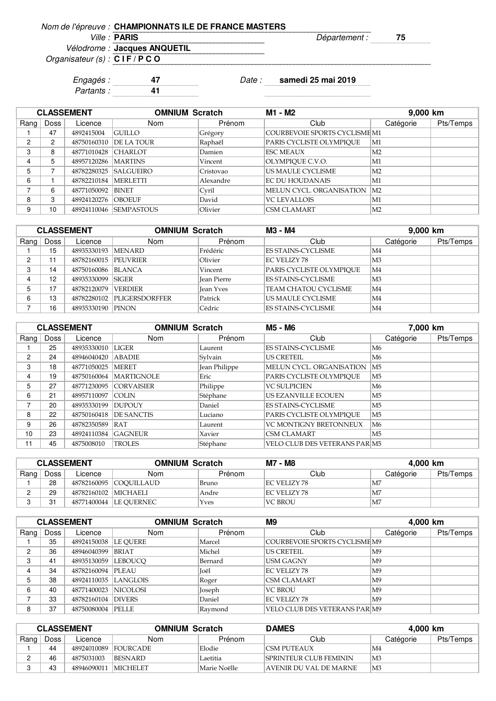| Nom de l'épreuve : CHAMPIONNATS ILE DE FRANCE MASTERS |               |  |
|-------------------------------------------------------|---------------|--|
| <i>Ville :</i> PARIS                                  | vepartement : |  |
| Vélodrome : Jacques ANQUETIL                          |               |  |

Organisateur (s) : **C I F / P C O**

Engagés : **47** Date : **samedi 25 mai 2019**

Partants : **41**

| <b>CLASSEMENT</b> |                |             | <b>OMNIUM Scratch</b> |           | M1 - M2                       |                | 9,000 km  |
|-------------------|----------------|-------------|-----------------------|-----------|-------------------------------|----------------|-----------|
| Rang              | Doss           | Licence     | <b>Nom</b>            | Prénom    | Club                          | Catégorie      | Pts/Temps |
|                   | 47             | 4892415004  | <b>GUILLO</b>         | Grégory   | COURBEVOIE SPORTS CYCLISME M1 |                |           |
| 2                 | $\overline{2}$ | 48750160310 | DE LA TOUR            | Raphaël   | PARIS CYCLISTE OLYMPIOUE      | M1             |           |
| 3                 | 8              | 48771010428 | <b>CHARLOT</b>        | Damien    | <b>ESC MEAUX</b>              | M2             |           |
| 4                 | 5              | 48957120286 | <b>MARTINS</b>        | Vincent   | OLYMPIOUE C.V.O.              | $\mathbf{M1}$  |           |
| 5                 |                | 48782280325 | <b>SALGUEIRO</b>      | Cristovao | US MAULE CYCLISME             | M <sub>2</sub> |           |
| 6                 |                | 48782210184 | <b>MERLETTI</b>       | Alexandre | <b>EC DU HOUDANAIS</b>        | $\mathbf{M1}$  |           |
|                   | 6              | 48771050092 | <b>BINET</b>          | Cyril     | MELUN CYCL. ORGANISATION      | M2             |           |
| 8                 | 3              | 48924120276 | <b>OBOEUF</b>         | David     | <b>VC LEVALLOIS</b>           | M1             |           |
| 9                 | 10             | 48924110046 | <b>SEMPASTOUS</b>     | Olivier   | <b>CSM CLAMART</b>            | M <sub>2</sub> |           |

| <b>CLASSEMENT</b> |      |                      | <b>OMNIUM Scratch</b> |                    | M3 - M4                   |           | 9,000 km  |  |
|-------------------|------|----------------------|-----------------------|--------------------|---------------------------|-----------|-----------|--|
| Rang              | Doss | Licence              | Nom                   | Prénom             | Club                      | Catégorie | Pts/Temps |  |
|                   | 15   | 48935330193 MENARD   |                       | Frédéric           | <b>ES STAINS-CYCLISME</b> | M4        |           |  |
| C                 | 11   | 48782160015 PEUVRIER |                       | Olivier            | EC VELIZY 78              | M3        |           |  |
| C                 | 14   | 48750160086          | <b>BLANCA</b>         | Vincent            | PARIS CYCLISTE OLYMPIOUE  | M4        |           |  |
|                   | 12   | 48935330099 SIGER    |                       | <b>Jean Pierre</b> | <b>ES STAINS-CYCLISME</b> | M3        |           |  |
|                   | 17   | 48782120079          | <b>VERDIER</b>        | <b>Jean Yves</b>   | TEAM CHATOU CYCLISME      | M4        |           |  |
| 6                 | 13   | 48782280102          | <b>PLIGERSDORFFER</b> | Patrick            | US MAULE CYCLISME         | M4        |           |  |
|                   | 16   | 48935330190 PINON    |                       | Cédric             | <b>ES STAINS-CYCLISME</b> | M4        |           |  |

| <b>CLASSEMENT</b> |      |             | <b>OMNIUM Scratch</b> |               | M5 - M6                              |                | 7,000 km  |  |
|-------------------|------|-------------|-----------------------|---------------|--------------------------------------|----------------|-----------|--|
| Rang              | Doss | Licence     | <b>Nom</b>            | Prénom        | Club                                 | Catégorie      | Pts/Temps |  |
|                   | 25   | 48935330010 | <b>LIGER</b>          | Laurent       | <b>ES STAINS-CYCLISME</b>            | M6             |           |  |
| 2                 | 24   | 48946040420 | <b>ABADIE</b>         | Sylvain       | <b>US CRETEIL</b>                    | M6             |           |  |
| 3                 | 18   | 48771050025 | <b>MERET</b>          | Jean Philippe | MELUN CYCL. ORGANISATION             | M5             |           |  |
| 4                 | 19   | 48750160064 | <b>MARTIGNOLE</b>     | Eric          | PARIS CYCLISTE OLYMPIOUE             | M5             |           |  |
| 5                 | 27   | 48771230095 | <b>CORVAISIER</b>     | Philippe      | <b>VC SULPICIEN</b>                  | M6             |           |  |
| 6                 | 21   | 48957110097 | COLIN                 | Stéphane      | US EZANVILLE ECOUEN                  | M5             |           |  |
| ⇁                 | 20   | 48935330199 | <b>DUPOUY</b>         | Daniel        | <b>ES STAINS-CYCLISME</b>            | M <sub>5</sub> |           |  |
| 8                 | 22   | 48750160418 | <b>DE SANCTIS</b>     | Luciano       | PARIS CYCLISTE OLYMPIOUE             | M5             |           |  |
| 9                 | 26   | 48782350589 | RAT                   | Laurent       | <b>VC MONTIGNY BRETONNEUX</b>        | M6             |           |  |
| 10                | 23   | 48924110384 | <b>GAGNEUR</b>        | Xavier        | <b>CSM CLAMART</b>                   | M <sub>5</sub> |           |  |
| 11                | 45   | 4875008010  | <b>TROLES</b>         | Stéphane      | <b>VELO CLUB DES VETERANS PARIM5</b> |                |           |  |

| <b>CLASSEMENT</b> |      |                      | <b>OMNIUM Scratch</b>    |        | M7 - M8        | 4.000 km           |           |
|-------------------|------|----------------------|--------------------------|--------|----------------|--------------------|-----------|
| Rang              | Doss | Licence              | Nom                      | Prénom | Club           | Catégorie          | Pts/Temps |
|                   | 28   |                      | 48782160095 COOUILLAUD   | Bruno  | EC VELIZY 78   | M7                 |           |
|                   | 29   | 48782160102 MICHAELI |                          | Andre  | EC VELIZY 78   | M <sub>7</sub>     |           |
|                   | 31   |                      | 48771400044   LE OUERNEC | Yves   | <b>VC BROU</b> | $\overline{\rm M}$ |           |

| <b>CLASSEMENT</b> |      |                        | <b>OMNIUM Scratch</b> |         | M <sub>9</sub><br>4,000 km           |                 |           |
|-------------------|------|------------------------|-----------------------|---------|--------------------------------------|-----------------|-----------|
| Rang              | Doss | Licence                | <b>Nom</b>            | Prénom  | Club                                 | Catégorie       | Pts/Temps |
|                   | 35   | 48924150038   LE OUERE |                       | Marcel  | COURBEVOIE SPORTS CYCLISME M9        |                 |           |
| 2                 | 36   | 48946040399            | <b>BRIAT</b>          | Michel  | <b>US CRETEIL</b>                    | M9              |           |
| 3                 | 41   | 48935130059            | <b>LEBOUCO</b>        | Bernard | <b>USM GAGNY</b>                     | $\overline{M9}$ |           |
|                   | 34   | 48782160094 PLEAU      |                       | Joël    | <b>EC VELIZY 78</b>                  | M9              |           |
| 5                 | 38   | 48924110035 LANGLOIS   |                       | Roger   | <b>CSM CLAMART</b>                   | $\overline{M9}$ |           |
| 6                 | 40   | 48771400023 NICOLOSI   |                       | Joseph  | <b>VC BROU</b>                       | $\overline{M9}$ |           |
|                   | 33   | 48782160104            | <b>DIVERS</b>         | Daniel  | EC VELIZY 78                         | M9              |           |
| 8                 | 37   | 48750080004 PELLE      |                       | Raymond | <b>VELO CLUB DES VETERANS PARIM9</b> |                 |           |

| <b>CLASSEMENT</b> |        |             | <b>OMNIUM Scratch</b> |              | <b>DAMES</b>            | 4,000 km  |           |
|-------------------|--------|-------------|-----------------------|--------------|-------------------------|-----------|-----------|
| Rang              | Doss i | Licence     | Nom                   | Prénom       | Club                    | Catégorie | Pts/Temps |
|                   | 44     |             | 48924010089 FOURCADE  | Elodie       | <b>CSM PUTEAUX</b>      | M4        |           |
|                   | 46     | 4875031003  | BESNARD               | Laetitia     | ISPRINTEUR CLUB FEMININ | M3        |           |
|                   | 43     | 48946090011 | <b>MICHELET</b>       | Marie Noëlle | AVENIR DU VAL DE MARNE  | M3        |           |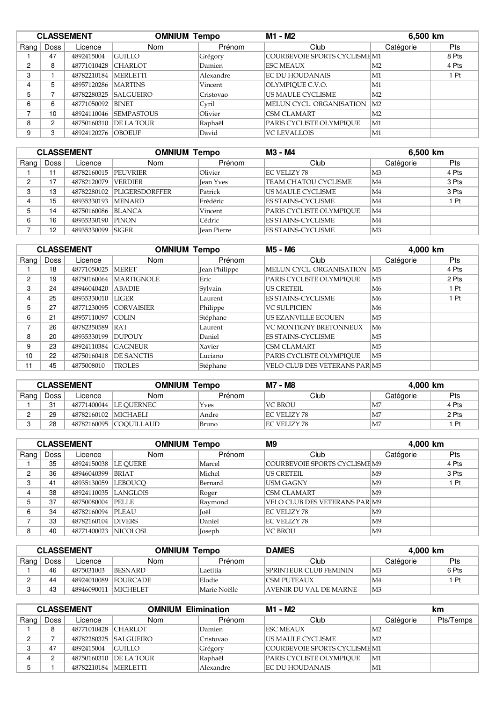| <b>CLASSEMENT</b> |                      |             | <b>OMNIUM Tempo</b> |           | M1 - M2                       |                | 6,500 km   |  |
|-------------------|----------------------|-------------|---------------------|-----------|-------------------------------|----------------|------------|--|
| Rang              | <b>Doss</b>          | Licence     | Nom                 | Prénom    | Club                          | Catégorie      | <b>Pts</b> |  |
|                   | 47                   | 4892415004  | <b>GUILLO</b>       | Grégory   | COURBEVOIE SPORTS CYCLISME M1 |                | 8 Pts      |  |
| 2                 | 8                    | 48771010428 | <b>CHARLOT</b>      | Damien    | <b>ESC MEAUX</b>              | M2             | 4 Pts      |  |
| 3                 |                      | 48782210184 | <b>MERLETTI</b>     | Alexandre | <b>EC DU HOUDANAIS</b>        | M1             | 1 Pt       |  |
| 4                 | 5                    | 48957120286 | <b>MARTINS</b>      | Vincent   | OLYMPIOUE C.V.O.              | M1             |            |  |
| 5                 |                      | 48782280325 | <b>SALGUEIRO</b>    | Cristovao | US MAULE CYCLISME             | M <sub>2</sub> |            |  |
| 6                 | 6                    | 48771050092 | <b>BINET</b>        | Cyril     | MELUN CYCL. ORGANISATION      | M2             |            |  |
| –                 | 10                   | 48924110046 | <b>SEMPASTOUS</b>   | Olivier   | <b>CSM CLAMART</b>            | M <sub>2</sub> |            |  |
| 8                 | $\mathbf{2}^{\circ}$ | 48750160310 | <b>DE LA TOUR</b>   | Raphaël   | PARIS CYCLISTE OLYMPIOUE      | M1             |            |  |
| 9                 | 3                    | 48924120276 | <b>OBOEUF</b>       | David     | <b>VC LEVALLOIS</b>           | M1             |            |  |

| <b>CLASSEMENT</b> |      |                      | <b>OMNIUM Tempo</b>         |                    | M3 - M4<br>6,500 km         |                     |       |
|-------------------|------|----------------------|-----------------------------|--------------------|-----------------------------|---------------------|-------|
| Rang              | Doss | Licence              | Nom                         | Prénom             | Club                        | Catégorie           | Pts   |
|                   | 11   | 48782160015 PEUVRIER |                             | Olivier            | EC VELIZY 78                | M3                  | 4 Pts |
| C                 | 17   | 48782120079          | <b>VERDIER</b>              | <b>Jean Yves</b>   | <b>TEAM CHATOU CYCLISME</b> | M4                  | 3 Pts |
| C<br>O            | 13   |                      | 48782280102  PLIGERSDORFFER | Patrick            | US MAULE CYCLISME           | M4                  | 3 Pts |
|                   | 15   | 48935330193 MENARD   |                             | Frédéric           | <b>ES STAINS-CYCLISME</b>   | $\overline{\rm M4}$ | Pt    |
|                   | 14   | 48750160086          | <b>BLANCA</b>               | Vincent            | PARIS CYCLISTE OLYMPIOUE    | M4                  |       |
| 6                 | 16   | 48935330190          | <b>PINON</b>                | Cédric             | <b>ES STAINS-CYCLISME</b>   | M4                  |       |
|                   | 12   | 48935330099 SIGER    |                             | <b>Jean Pierre</b> | <b>ES STAINS-CYCLISME</b>   | M3                  |       |

| <b>CLASSEMENT</b> |      |             | <b>OMNIUM Tempo</b> |               | M5 - M6<br>4,000 km                  |                |            |
|-------------------|------|-------------|---------------------|---------------|--------------------------------------|----------------|------------|
| Rang              | Doss | Licence     | <b>Nom</b>          | Prénom        | Club                                 | Catégorie      | <b>Pts</b> |
|                   | 18   | 48771050025 | <b>MERET</b>        | Jean Philippe | MELUN CYCL. ORGANISATION             | M <sub>5</sub> | 4 Pts      |
| 2                 | 19   | 48750160064 | <b>MARTIGNOLE</b>   | Eric          | PARIS CYCLISTE OLYMPIQUE             | M <sub>5</sub> | 2 Pts      |
| 3                 | 24   | 48946040420 | <b>ABADIE</b>       | Sylvain       | <b>US CRETEIL</b>                    | M6             | 1 Pt       |
| 4                 | 25   | 48935330010 | LIGER               | Laurent       | <b>ES STAINS-CYCLISME</b>            | M6             | 1 Pt       |
| 5                 | 27   | 48771230095 | <b>CORVAISIER</b>   | Philippe      | <b>VC SULPICIEN</b>                  | M6             |            |
| 6                 | 21   | 48957110097 | <b>COLIN</b>        | Stéphane      | US EZANVILLE ECOUEN                  | M <sub>5</sub> |            |
| –                 | 26   | 48782350589 | RAT                 | Laurent       | <b>VC MONTIGNY BRETONNEUX</b>        | M6             |            |
| 8                 | 20   | 48935330199 | DUPOUY              | Daniel        | <b>ES STAINS-CYCLISME</b>            | M <sub>5</sub> |            |
| 9                 | 23   | 48924110384 | <b>GAGNEUR</b>      | Xavier        | <b>CSM CLAMART</b>                   | M <sub>5</sub> |            |
| 10                | 22   | 48750160418 | <b>DE SANCTIS</b>   | Luciano       | PARIS CYCLISTE OLYMPIOUE             | M <sub>5</sub> |            |
| 11                | 45   | 4875008010  | <b>TROLES</b>       | Stéphane      | <b>VELO CLUB DES VETERANS PAR M5</b> |                |            |

| <b>CLASSEMENT</b> |      |                      | OMNIUM<br>Tempo        |        | M7 - M8        | 4.000 km  |       |
|-------------------|------|----------------------|------------------------|--------|----------------|-----------|-------|
| Rang              | Doss | Licence              | Nom                    | Prénom | Club           | Catégorie | Pts   |
|                   | 31   |                      | 48771400044 LE OUERNEC | Yves   | <b>VC BROU</b> | M7        | 4 Pts |
|                   | 29   | 48782160102 MICHAELI |                        | Andre  | IEC VELIZY 78  | M7        | 2 Pts |
|                   | 28   |                      | 48782160095 COOUILLAUD | Bruno  | EC VELIZY 78   | M7        | Pt    |

| <b>CLASSEMENT</b> |      |                        | <b>OMNIUM Tempo</b> |         | M9<br>4,000 km                |                |       |
|-------------------|------|------------------------|---------------------|---------|-------------------------------|----------------|-------|
| Rang              | Doss | Licence                | Nom                 | Prénom  | Club                          | Catégorie      | Pts   |
|                   | 35   | 48924150038            | LE OUERE            | Marcel  | COURBEVOIE SPORTS CYCLISME M9 |                | 4 Pts |
| 2                 | 36   | 48946040399            | <b>BRIAT</b>        | Michel  | US CRETEIL                    | M <sup>9</sup> | 3 Pts |
| 3                 | 41   | 48935130059            | <b>LEBOUCO</b>      | Bernard | USM GAGNY                     | M <sup>9</sup> | 1Pt   |
| 4                 | 38   | 48924110035            | LANGLOIS            | Roger   | <b>CSM CLAMART</b>            | M <sup>9</sup> |       |
| 5                 | 37   | 48750080004            | <b>PELLE</b>        | Raymond | VELO CLUB DES VETERANS PAR M9 |                |       |
| 6                 | 34   | 48782160094            | <b>PLEAU</b>        | Joël    | <b>EC VELIZY 78</b>           | M <sup>9</sup> |       |
|                   | 33   | 48782160104            | <b>DIVERS</b>       | Daniel  | EC VELIZY 78                  | M <sup>9</sup> |       |
| 8                 | 40   | 48771400023   NICOLOSI |                     | Joseph  | <b>VC BROU</b>                | M <sup>9</sup> |       |

| <b>CLASSEMENT</b> |      |                        | <b>DAMES</b><br><b>OMNIUM Tempo</b> |              | 4.000 km                      |                |            |
|-------------------|------|------------------------|-------------------------------------|--------------|-------------------------------|----------------|------------|
| Rang              | Doss | Licence                | Nom                                 | Prénom       | Club                          | Catégorie      | <b>Pts</b> |
|                   | 46   | 4875031003             | BESNARD                             | Laetitia     | <b>SPRINTEUR CLUB FEMININ</b> | M <sub>3</sub> | 6 Pts      |
|                   | 44   |                        | 48924010089  FOURCADE               | Elodie       | ICSM PUTEAUX                  | M4             | Pt         |
|                   | 43   | 48946090011   MICHELET |                                     | Marie Noëlle | AVENIR DU VAL DE MARNE        | M3             |            |

|      | <b>CLASSEMENT</b> |                        | <b>OMNIUM Elimination</b> |           | M1 - M2                       |                     | km        |
|------|-------------------|------------------------|---------------------------|-----------|-------------------------------|---------------------|-----------|
| Rang | Doss              | Licence                | <b>Nom</b>                | Prénom    | Club                          | Catégorie           | Pts/Temps |
|      |                   | 48771010428 CHARLOT    |                           | Damien    | IESC MEAUX                    | $\overline{\rm M2}$ |           |
| n    |                   |                        | 48782280325 SALGUEIRO     | Cristovao | US MAULE CYCLISME             | $\overline{\rm M2}$ |           |
|      | 47                | 4892415004             | <b>GUILLO</b>             | Grégory   | COURBEVOIE SPORTS CYCLISME M1 |                     |           |
|      |                   | 48750160310            | <b>DE LA TOUR</b>         | Raphaël   | PARIS CYCLISTE OLYMPIOUE      | $\mathbf{M}$ 1      |           |
|      |                   | 48782210184   MERLETTI |                           | Alexandre | EC DU HOUDANAIS               | M1                  |           |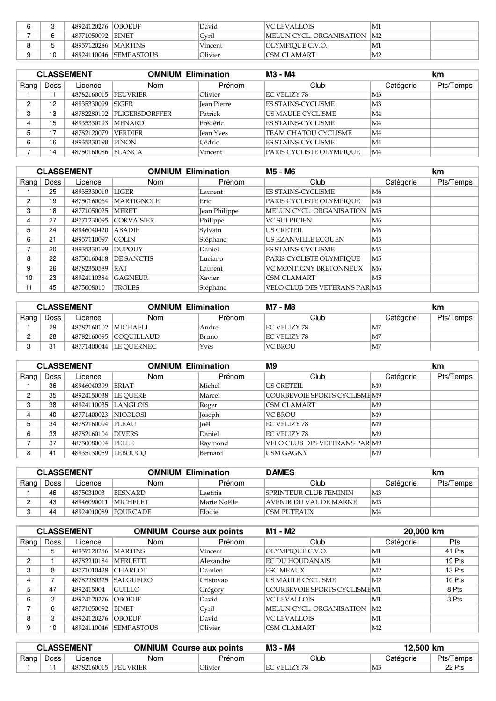|  | 48924120276   OBOEUF  |                         | David   | VC LEVALLOIS                 | M1 |  |
|--|-----------------------|-------------------------|---------|------------------------------|----|--|
|  | 48771050092 BINET     |                         | Cvril   | MELUN CYCL. ORGANISATION  M2 |    |  |
|  | 48957120286   MARTINS |                         | Vincent | OLYMPIOUE C.V.O.             | M1 |  |
|  |                       | 48924110046  SEMPASTOUS | Olivier | ICSM CLAMART                 | M2 |  |

| <b>CLASSEMENT</b> |      |                    | <b>OMNIUM Elimination</b> |                    | M3 - M4                     |                 | km        |  |
|-------------------|------|--------------------|---------------------------|--------------------|-----------------------------|-----------------|-----------|--|
| Rang              | Doss | Licence            | <b>Nom</b>                | Prénom             | Club                        | Catégorie       | Pts/Temps |  |
|                   | 11   | 48782160015        | <b>PEUVRIER</b>           | Olivier            | EC VELIZY 78                | M3              |           |  |
| C                 | 12   | 48935330099 SIGER  |                           | <b>Jean Pierre</b> | <b>ES STAINS-CYCLISME</b>   | M <sub>3</sub>  |           |  |
| C<br>O            | 13   | 48782280102        | <b>PLIGERSDORFFER</b>     | Patrick            | US MAULE CYCLISME           | M4              |           |  |
|                   | 15   | 48935330193 MENARD |                           | Frédéric           | <b>ES STAINS-CYCLISME</b>   | M4              |           |  |
|                   | 17   | 48782120079        | <b>VERDIER</b>            | Iean Yves          | <b>TEAM CHATOU CYCLISME</b> | M4              |           |  |
| 6                 | 16   | 48935330190        | <b>PINON</b>              | Cédric             | <b>ES STAINS-CYCLISME</b>   | M4              |           |  |
|                   | 14   | 48750160086        | <b>BLANCA</b>             | Vincent            | PARIS CYCLISTE OLYMPIOUE    | $\overline{M4}$ |           |  |

|      |             | <b>CLASSEMENT</b>   |                   | <b>OMNIUM Elimination</b><br>M5 - M6 |                                      |                | <b>km</b> |
|------|-------------|---------------------|-------------------|--------------------------------------|--------------------------------------|----------------|-----------|
| Rang | <b>Doss</b> | Licence             | <b>Nom</b>        | Prénom                               | Club                                 | Catégorie      | Pts/Temps |
|      | 25          | 48935330010         | <b>LIGER</b>      | Laurent                              | <b>ES STAINS-CYCLISME</b>            | M6             |           |
| 2    | 19          | 48750160064         | <b>MARTIGNOLE</b> | Eric                                 | PARIS CYCLISTE OLYMPIOUE             | M <sub>5</sub> |           |
| 3    | 18          | 48771050025         | <b>MERET</b>      | Jean Philippe                        | MELUN CYCL. ORGANISATION             | M5             |           |
| 4    | 27          | 48771230095         | <b>CORVAISIER</b> | Philippe                             | <b>VC SULPICIEN</b>                  | M6             |           |
| 5.   | 24          | 48946040420         | ABADIE            | Sylvain                              | <b>IUS CRETEIL</b>                   | M6             |           |
| 6    | 21          | 48957110097 COLIN   |                   | Stéphane                             | US EZANVILLE ECOUEN                  | M5             |           |
| 7    | 20          | 48935330199         | <b>DUPOUY</b>     | Daniel                               | <b>ES STAINS-CYCLISME</b>            | M <sub>5</sub> |           |
| 8    | 22          | 48750160418         | <b>DE SANCTIS</b> | Luciano                              | PARIS CYCLISTE OLYMPIOUE             | M5             |           |
| 9    | 26          | 48782350589         | RAT               | Laurent                              | <b>VC MONTIGNY BRETONNEUX</b>        | M6             |           |
| 10   | 23          | 48924110384 GAGNEUR |                   | Xavier                               | <b>CSM CLAMART</b>                   | M <sub>5</sub> |           |
| 11   | 45          | 4875008010          | <b>TROLES</b>     | Stéphane                             | <b>VELO CLUB DES VETERANS PARIM5</b> |                |           |

| <b>CLASSEMENT</b> |      | <b>OMNIUM Elimination</b> |                         | M7 - M8 |                | km              |           |
|-------------------|------|---------------------------|-------------------------|---------|----------------|-----------------|-----------|
| Rang              | Doss | Licence                   | Nom                     | Prénom  | Club           | Catégorie       | Pts/Temps |
|                   | 29   | 48782160102 MICHAELI      |                         | Andre   | EC VELIZY 78   | 1 <sub>M7</sub> |           |
|                   | 28   |                           | 48782160095 COOUILLAUD  | Bruno   | EC VELIZY 78   | 1 <sub>M7</sub> |           |
|                   | 31   |                           | 48771400044  LE QUERNEC | Yves    | <b>VC BROU</b> | M <sub>7</sub>  |           |

|      |      | <b>CLASSEMENT</b>      | <b>OMNIUM Elimination</b> |         | M <sub>9</sub>                       |                | km        |
|------|------|------------------------|---------------------------|---------|--------------------------------------|----------------|-----------|
| Rang | Doss | Licence                | <b>Nom</b>                | Prénom  | Club                                 | Catégorie      | Pts/Temps |
|      | 36   | 48946040399 BRIAT      |                           | Michel  | <b>US CRETEIL</b>                    | M9             |           |
| 2    | 35   | 48924150038   LE OUERE |                           | Marcel  | COURBEVOIE SPORTS CYCLISME M9        |                |           |
| 3    | 38   | 48924110035 LANGLOIS   |                           | Roger   | <b>CSM CLAMART</b>                   | M9             |           |
| 4    | 40   | 48771400023 NICOLOSI   |                           | Joseph  | <b>VC BROU</b>                       | M <sup>9</sup> |           |
| 5    | 34   | 48782160094 PLEAU      |                           | Joël    | <b>EC VELIZY 78</b>                  | M9             |           |
| 6    | 33   | 48782160104 DIVERS     |                           | Daniel  | <b>EC VELIZY 78</b>                  | M9             |           |
|      | 37   | 48750080004 PELLE      |                           | Raymond | <b>VELO CLUB DES VETERANS PARIM9</b> |                |           |
| 8    | 41   | 48935130059  LEBOUCO   |                           | Bernard | <b>USM GAGNY</b>                     | M9             |           |

| <b>CLASSEMENT</b> |        |                       | <b>OMNIUM Elimination</b> |              | <b>DAMES</b>                  |                | km        |  |
|-------------------|--------|-----------------------|---------------------------|--------------|-------------------------------|----------------|-----------|--|
| Rang              | Doss i | Licence               | Nom                       | Prénom       | Club                          | Catégorie      | Pts/Temps |  |
|                   | 46     | 4875031003            | BESNARD                   | Laetitia     | SPRINTEUR CLUB FEMININ        | M <sub>3</sub> |           |  |
|                   | 43     | 48946090011  MICHELET |                           | Marie Noëlle | <b>AVENIR DU VAL DE MARNE</b> | M3             |           |  |
|                   | 44     |                       | 48924010089 FOURCADE      | Elodie       | CSM PUTEAUX                   | M4             |           |  |

|      | <b>CLASSEMENT</b> |             |                   | M1 - M2<br><b>OMNIUM Course aux points</b> |                                      | 20,000 km      |            |
|------|-------------------|-------------|-------------------|--------------------------------------------|--------------------------------------|----------------|------------|
| Rang | <b>Doss</b>       | Licence     | Nom               | Prénom                                     | Club                                 | Catégorie      | <b>Pts</b> |
|      | 5                 | 48957120286 | <b>MARTINS</b>    | Vincent                                    | OLYMPIOUE C.V.O.                     | M1             | 41 Pts     |
| 2    |                   | 48782210184 | <b>MERLETTI</b>   | Alexandre                                  | <b>EC DU HOUDANAIS</b>               | M1             | 19 Pts     |
| 3    | 8                 | 48771010428 | <b>CHARLOT</b>    | Damien                                     | <b>ESC MEAUX</b>                     | M <sub>2</sub> | 13 Pts     |
| 4    |                   | 48782280325 | <b>SALGUEIRO</b>  | Cristovao                                  | US MAULE CYCLISME                    | M <sub>2</sub> | 10 Pts     |
| 5    | 47                | 4892415004  | <b>GUILLO</b>     | Grégory                                    | <b>COURBEVOIE SPORTS CYCLISME M1</b> |                | 8 Pts      |
| 6    | 3                 | 48924120276 | <b>OBOEUF</b>     | David                                      | <b>VC LEVALLOIS</b>                  | M1             | 3 Pts      |
| –    | 6                 | 48771050092 | <b>BINET</b>      | Cyril                                      | MELUN CYCL. ORGANISATION             | M2             |            |
| 8    | 3                 | 48924120276 | <b>OBOEUF</b>     | David                                      | <b>VCLEVALLOIS</b>                   | M1             |            |
| 9    | 10                | 48924110046 | <b>SEMPASTOUS</b> | Olivier                                    | <b>CSM CLAMART</b>                   | M2             |            |
|      |                   |             |                   |                                            |                                      |                |            |

| <b>CLASSEMENT</b> |      |                      | M3 - M4<br><b>OMNIUM Course aux points</b> |         | 12.500 km            |           |           |
|-------------------|------|----------------------|--------------------------------------------|---------|----------------------|-----------|-----------|
| Rang $ $          | Doss | ∟icence              | Nom                                        | Prénom  | Club                 | Catégorie | Pts/Temps |
|                   |      | 48782160015 PEUVRIER |                                            | Olivier | <b>IEC VELIZY 78</b> | MЭ        | 22 Pts    |